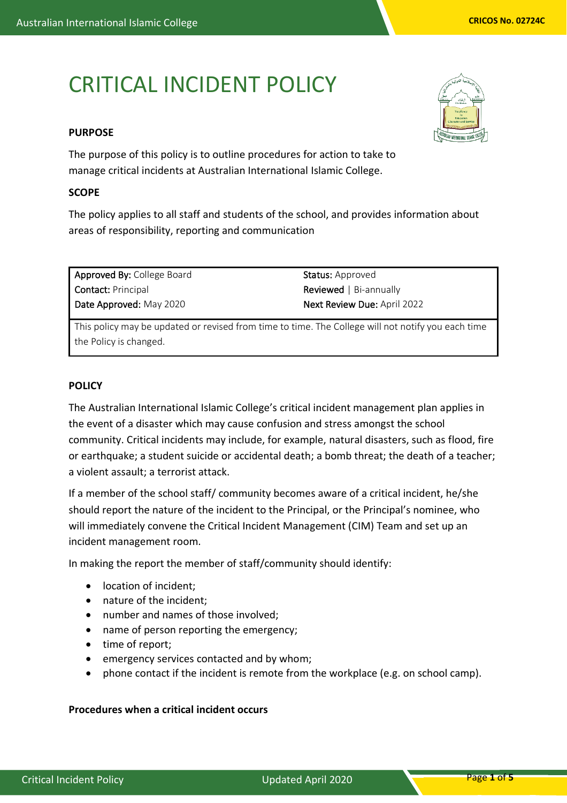# CRITICAL INCIDENT POLICY

# **PURPOSE**

The purpose of this policy is to outline procedures for action to take to manage critical incidents at Australian International Islamic College.

## **SCOPE**

The policy applies to all staff and students of the school, and provides information about areas of responsibility, reporting and communication

| <b>Approved By: College Board</b> | <b>Status:</b> Approved             |
|-----------------------------------|-------------------------------------|
| <b>Contact: Principal</b>         | <b>Reviewed</b> $\vert$ Bi-annually |
| Date Approved: May 2020           | Next Review Due: April 2022         |

This policy may be updated or revised from time to time. The College will not notify you each time the Policy is changed.

#### **POLICY**

The Australian International Islamic College's critical incident management plan applies in the event of a disaster which may cause confusion and stress amongst the school community. Critical incidents may include, for example, natural disasters, such as flood, fire or earthquake; a student suicide or accidental death; a bomb threat; the death of a teacher; a violent assault; a terrorist attack.

If a member of the school staff/ community becomes aware of a critical incident, he/she should report the nature of the incident to the Principal, or the Principal's nominee, who will immediately convene the Critical Incident Management (CIM) Team and set up an incident management room.

In making the report the member of staff/community should identify:

- location of incident:
- nature of the incident:
- number and names of those involved;
- name of person reporting the emergency;
- time of report;
- emergency services contacted and by whom;
- phone contact if the incident is remote from the workplace (e.g. on school camp).

# **Procedures when a critical incident occurs**

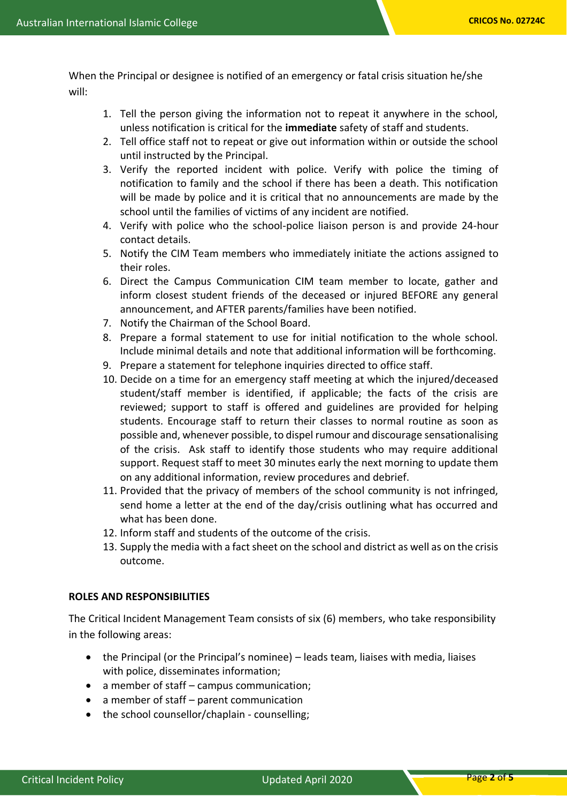When the Principal or designee is notified of an emergency or fatal crisis situation he/she will:

- 1. Tell the person giving the information not to repeat it anywhere in the school, unless notification is critical for the **immediate** safety of staff and students.
- 2. Tell office staff not to repeat or give out information within or outside the school until instructed by the Principal.
- 3. Verify the reported incident with police. Verify with police the timing of notification to family and the school if there has been a death. This notification will be made by police and it is critical that no announcements are made by the school until the families of victims of any incident are notified.
- 4. Verify with police who the school-police liaison person is and provide 24-hour contact details.
- 5. Notify the CIM Team members who immediately initiate the actions assigned to their roles.
- 6. Direct the Campus Communication CIM team member to locate, gather and inform closest student friends of the deceased or injured BEFORE any general announcement, and AFTER parents/families have been notified.
- 7. Notify the Chairman of the School Board.
- 8. Prepare a formal statement to use for initial notification to the whole school. Include minimal details and note that additional information will be forthcoming.
- 9. Prepare a statement for telephone inquiries directed to office staff.
- 10. Decide on a time for an emergency staff meeting at which the injured/deceased student/staff member is identified, if applicable; the facts of the crisis are reviewed; support to staff is offered and guidelines are provided for helping students. Encourage staff to return their classes to normal routine as soon as possible and, whenever possible, to dispel rumour and discourage sensationalising of the crisis. Ask staff to identify those students who may require additional support. Request staff to meet 30 minutes early the next morning to update them on any additional information, review procedures and debrief.
- 11. Provided that the privacy of members of the school community is not infringed, send home a letter at the end of the day/crisis outlining what has occurred and what has been done.
- 12. Inform staff and students of the outcome of the crisis.
- 13. Supply the media with a fact sheet on the school and district as well as on the crisis outcome.

# **ROLES AND RESPONSIBILITIES**

The Critical Incident Management Team consists of six (6) members, who take responsibility in the following areas:

- the Principal (or the Principal's nominee) leads team, liaises with media, liaises with police, disseminates information;
- a member of staff campus communication;
- a member of staff parent communication
- the school counsellor/chaplain counselling;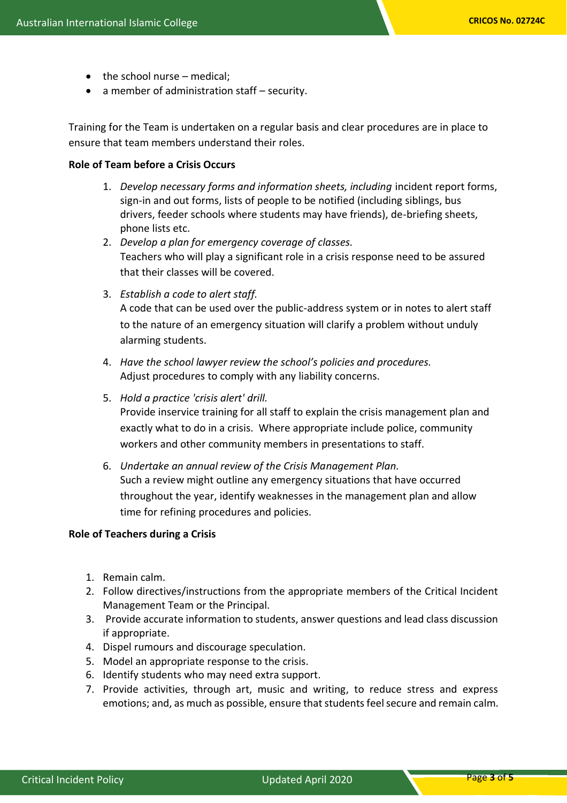- $\bullet$  the school nurse medical;
- a member of administration staff security.

Training for the Team is undertaken on a regular basis and clear procedures are in place to ensure that team members understand their roles.

### **Role of Team before a Crisis Occurs**

- 1. *Develop necessary forms and information sheets, including* incident report forms, sign-in and out forms, lists of people to be notified (including siblings, bus drivers, feeder schools where students may have friends), de-briefing sheets, phone lists etc.
- 2. *Develop a plan for emergency coverage of classes.* Teachers who will play a significant role in a crisis response need to be assured that their classes will be covered.
- 3. *Establish a code to alert staff.* A code that can be used over the public-address system or in notes to alert staff to the nature of an emergency situation will clarify a problem without unduly alarming students.
- 4. *Have the school lawyer review the school's policies and procedures.* Adjust procedures to comply with any liability concerns.
- 5. *Hold a practice 'crisis alert' drill.* Provide inservice training for all staff to explain the crisis management plan and exactly what to do in a crisis. Where appropriate include police, community workers and other community members in presentations to staff.
- 6. *Undertake an annual review of the Crisis Management Plan.* Such a review might outline any emergency situations that have occurred throughout the year, identify weaknesses in the management plan and allow time for refining procedures and policies.

#### **Role of Teachers during a Crisis**

- 1. Remain calm.
- 2. Follow directives/instructions from the appropriate members of the Critical Incident Management Team or the Principal.
- 3. Provide accurate information to students, answer questions and lead class discussion if appropriate.
- 4. Dispel rumours and discourage speculation.
- 5. Model an appropriate response to the crisis.
- 6. Identify students who may need extra support.
- 7. Provide activities, through art, music and writing, to reduce stress and express emotions; and, as much as possible, ensure that students feel secure and remain calm.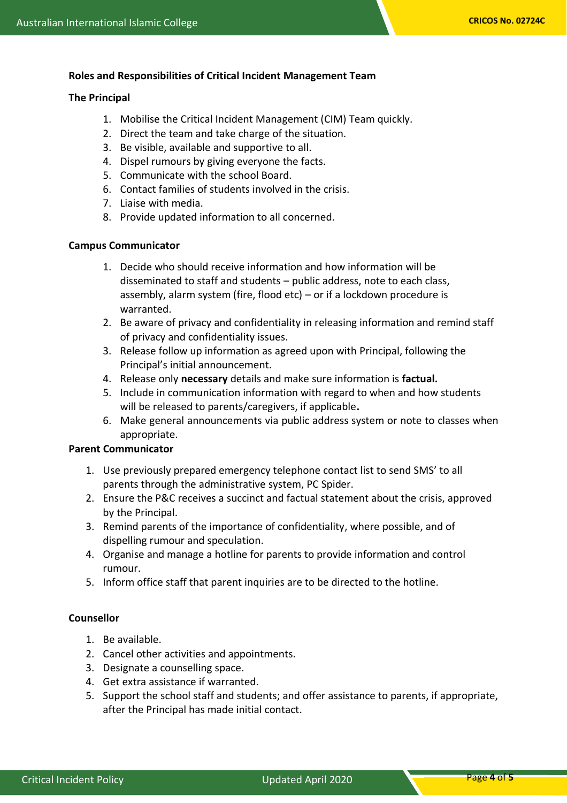# **Roles and Responsibilities of Critical Incident Management Team**

#### **The Principal**

- 1. Mobilise the Critical Incident Management (CIM) Team quickly.
- 2. Direct the team and take charge of the situation.
- 3. Be visible, available and supportive to all.
- 4. Dispel rumours by giving everyone the facts.
- 5. Communicate with the school Board.
- 6. Contact families of students involved in the crisis.
- 7. Liaise with media.
- 8. Provide updated information to all concerned.

# **Campus Communicator**

- 1. Decide who should receive information and how information will be disseminated to staff and students – public address, note to each class, assembly, alarm system (fire, flood etc) – or if a lockdown procedure is warranted.
- 2. Be aware of privacy and confidentiality in releasing information and remind staff of privacy and confidentiality issues.
- 3. Release follow up information as agreed upon with Principal, following the Principal's initial announcement.
- 4. Release only **necessary** details and make sure information is **factual.**
- 5. Include in communication information with regard to when and how students will be released to parents/caregivers, if applicable**.**
- 6. Make general announcements via public address system or note to classes when appropriate.

#### **Parent Communicator**

- 1. Use previously prepared emergency telephone contact list to send SMS' to all parents through the administrative system, PC Spider.
- 2. Ensure the P&C receives a succinct and factual statement about the crisis, approved by the Principal.
- 3. Remind parents of the importance of confidentiality, where possible, and of dispelling rumour and speculation.
- 4. Organise and manage a hotline for parents to provide information and control rumour.
- 5. Inform office staff that parent inquiries are to be directed to the hotline.

# **Counsellor**

- 1. Be available.
- 2. Cancel other activities and appointments.
- 3. Designate a counselling space.
- 4. Get extra assistance if warranted.
- 5. Support the school staff and students; and offer assistance to parents, if appropriate, after the Principal has made initial contact.